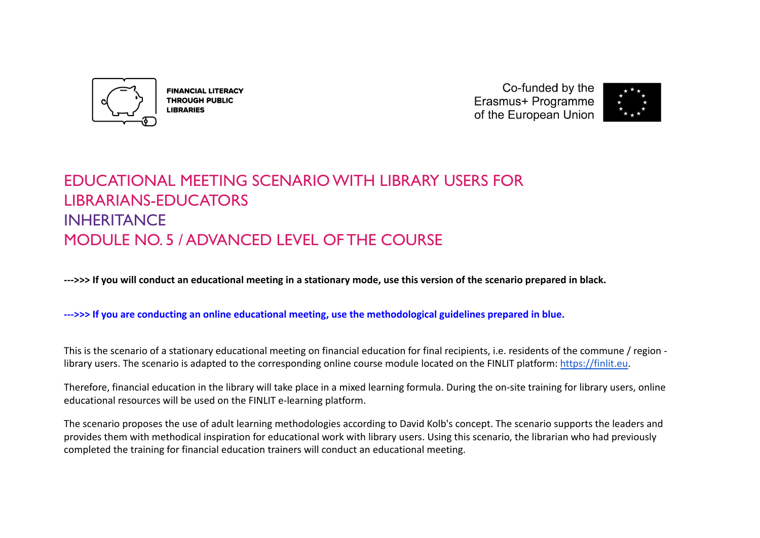

**FINANCIAL LITERACY THROUGH PUBLIC LIBRARIES** 

Co-funded by the Erasmus+ Programme of the European Union



# EDUCATIONAL MEETING SCENARIO WITH LIBRARY USERS FOR LIBRARIANS-EDUCATORS INHERITANCE MODULE NO. 5 / ADVANCED LEVEL OF THE COURSE

**--->>> If you will conduct an educational meeting in a stationary mode, use this version of the scenario prepared in black.**

**--->>> If you are conducting an online educational meeting, use the methodological guidelines prepared in blue.**

This is the scenario of a stationary educational meeting on financial education for final recipients, i.e. residents of the commune / region library users. The scenario is adapted to the corresponding online course module located on the FINLIT platform: [https://finlit.eu.](https://finlit.eu)

Therefore, financial education in the library will take place in a mixed learning formula. During the on-site training for library users, online educational resources will be used on the FINLIT e-learning platform.

The scenario proposes the use of adult learning methodologies according to David Kolb's concept. The scenario supports the leaders and provides them with methodical inspiration for educational work with library users. Using this scenario, the librarian who had previously completed the training for financial education trainers will conduct an educational meeting.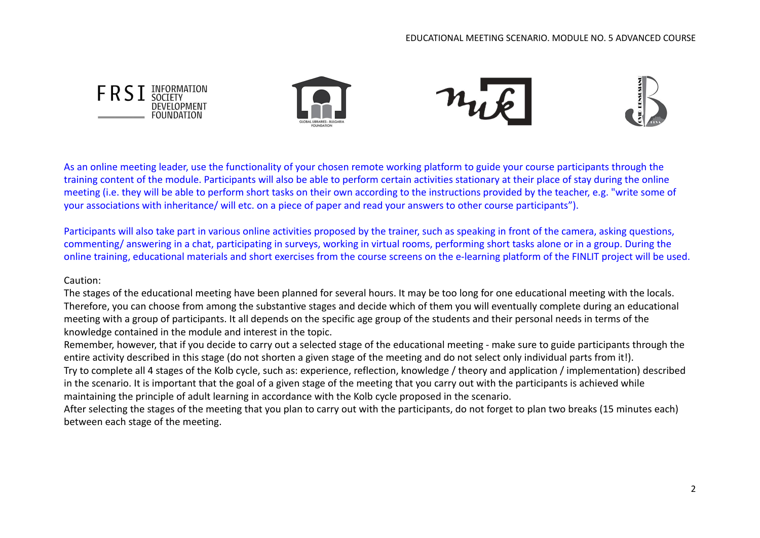

As an online meeting leader, use the functionality of your chosen remote working platform to guide your course participants through the training content of the module. Participants will also be able to perform certain activities stationary at their place of stay during the online meeting (i.e. they will be able to perform short tasks on their own according to the instructions provided by the teacher, e.g. "write some of your associations with inheritance/ will etc. on a piece of paper and read your answers to other course participants").

Participants will also take part in various online activities proposed by the trainer, such as speaking in front of the camera, asking questions, commenting/ answering in a chat, participating in surveys, working in virtual rooms, performing short tasks alone or in a group. During the online training, educational materials and short exercises from the course screens on the e-learning platform of the FINLIT project will be used.

#### Caution:

The stages of the educational meeting have been planned for several hours. It may be too long for one educational meeting with the locals. Therefore, you can choose from among the substantive stages and decide which of them you will eventually complete during an educational meeting with a group of participants. It all depends on the specific age group of the students and their personal needs in terms of the knowledge contained in the module and interest in the topic.

Remember, however, that if you decide to carry out a selected stage of the educational meeting - make sure to guide participants through the entire activity described in this stage (do not shorten a given stage of the meeting and do not select only individual parts from it!). Try to complete all 4 stages of the Kolb cycle, such as: experience, reflection, knowledge / theory and application / implementation) described in the scenario. It is important that the goal of a given stage of the meeting that you carry out with the participants is achieved while maintaining the principle of adult learning in accordance with the Kolb cycle proposed in the scenario.

After selecting the stages of the meeting that you plan to carry out with the participants, do not forget to plan two breaks (15 minutes each) between each stage of the meeting.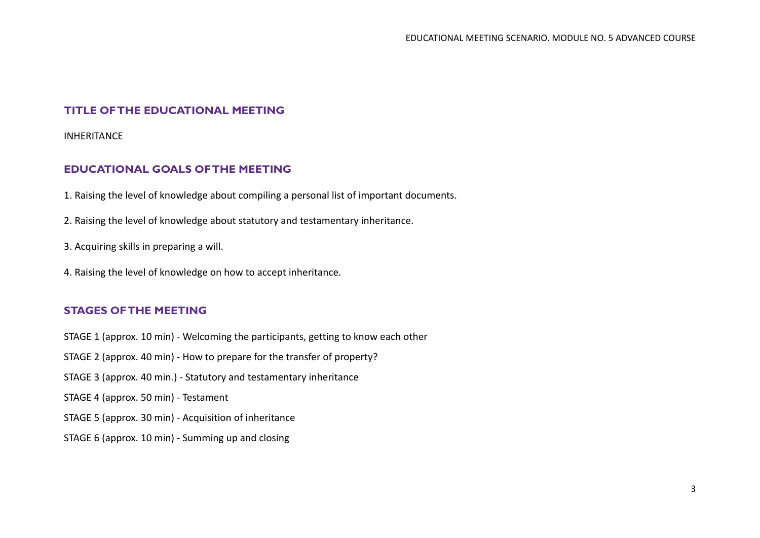## **TITLE OF THE EDUCATIONAL MEETING**

INHERITANCE

## **EDUCATIONAL GOALS OF THE MEETING**

1. Raising the level of knowledge about compiling a personal list of important documents.

2. Raising the level of knowledge about statutory and testamentary inheritance.

- 3. Acquiring skills in preparing a will.
- 4. Raising the level of knowledge on how to accept inheritance.

## **STAGES OF THE MEETING**

- STAGE 1 (approx. 10 min) Welcoming the participants, getting to know each other
- STAGE 2 (approx. 40 min) How to prepare for the transfer of property?
- STAGE 3 (approx. 40 min.) Statutory and testamentary inheritance
- STAGE 4 (approx. 50 min) Testament
- STAGE 5 (approx. 30 min) Acquisition of inheritance
- STAGE 6 (approx. 10 min) Summing up and closing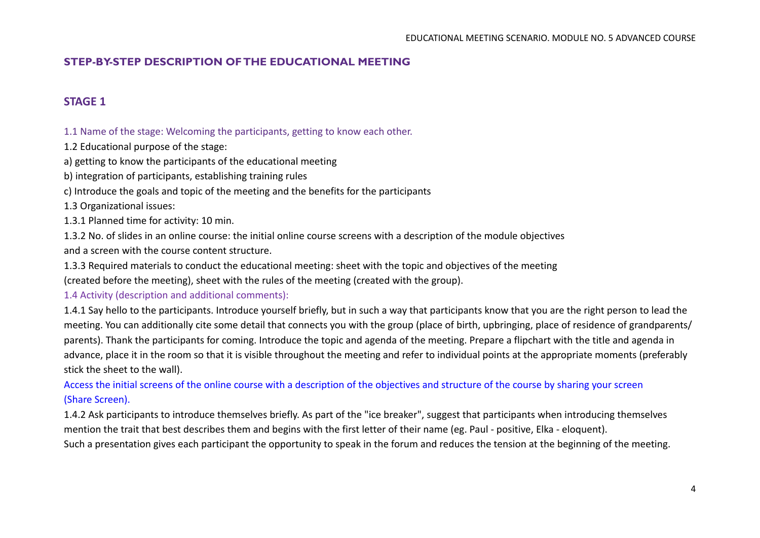# **STEP-BY-STEP DESCRIPTION OF THE EDUCATIONAL MEETING**

# **STAGE 1**

1.1 Name of the stage: Welcoming the participants, getting to know each other.

1.2 Educational purpose of the stage:

a) getting to know the participants of the educational meeting

b) integration of participants, establishing training rules

c) Introduce the goals and topic of the meeting and the benefits for the participants

1.3 Organizational issues:

1.3.1 Planned time for activity: 10 min.

1.3.2 No. of slides in an online course: the initial online course screens with a description of the module objectives and a screen with the course content structure.

1.3.3 Required materials to conduct the educational meeting: sheet with the topic and objectives of the meeting

(created before the meeting), sheet with the rules of the meeting (created with the group).

1.4 Activity (description and additional comments):

1.4.1 Say hello to the participants. Introduce yourself briefly, but in such a way that participants know that you are the right person to lead the meeting. You can additionally cite some detail that connects you with the group (place of birth, upbringing, place of residence of grandparents/ parents). Thank the participants for coming. Introduce the topic and agenda of the meeting. Prepare a flipchart with the title and agenda in advance, place it in the room so that it is visible throughout the meeting and refer to individual points at the appropriate moments (preferably stick the sheet to the wall).

Access the initial screens of the online course with a description of the objectives and structure of the course by sharing your screen (Share Screen).

1.4.2 Ask participants to introduce themselves briefly. As part of the "ice breaker", suggest that participants when introducing themselves mention the trait that best describes them and begins with the first letter of their name (eg. Paul - positive, Elka - eloquent). Such a presentation gives each participant the opportunity to speak in the forum and reduces the tension at the beginning of the meeting.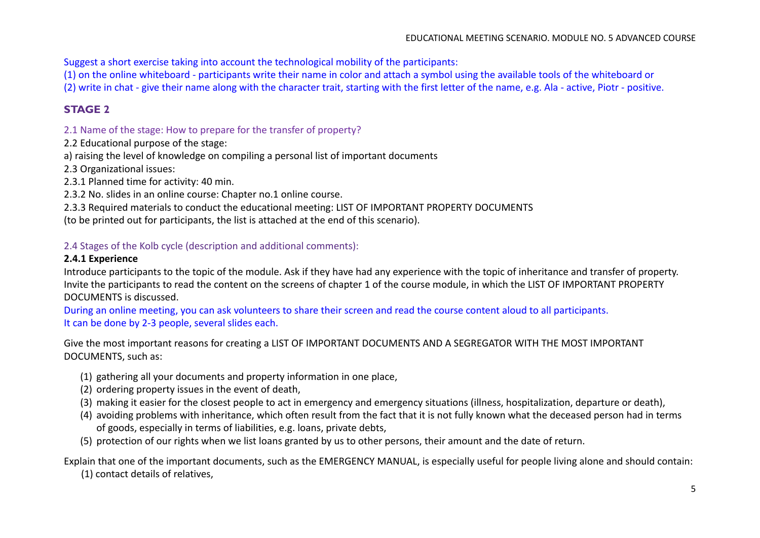Suggest a short exercise taking into account the technological mobility of the participants:

(1) on the online whiteboard - participants write their name in color and attach a symbol using the available tools of the whiteboard or (2) write in chat - give their name along with the character trait, starting with the first letter of the name, e.g. Ala - active, Piotr - positive.

# **STAGE 2**

2.1 Name of the stage: How to prepare for the transfer of property?

2.2 Educational purpose of the stage:

a) raising the level of knowledge on compiling a personal list of important documents

2.3 Organizational issues:

2.3.1 Planned time for activity: 40 min.

2.3.2 No. slides in an online course: Chapter no.1 online course.

2.3.3 Required materials to conduct the educational meeting: LIST OF IMPORTANT PROPERTY DOCUMENTS

(to be printed out for participants, the list is attached at the end of this scenario).

# 2.4 Stages of the Kolb cycle (description and additional comments):

## **2.4.1 Experience**

Introduce participants to the topic of the module. Ask if they have had any experience with the topic of inheritance and transfer of property. Invite the participants to read the content on the screens of chapter 1 of the course module, in which the LIST OF IMPORTANT PROPERTY DOCUMENTS is discussed.

During an online meeting, you can ask volunteers to share their screen and read the course content aloud to all participants. It can be done by 2-3 people, several slides each.

Give the most important reasons for creating a LIST OF IMPORTANT DOCUMENTS AND A SEGREGATOR WITH THE MOST IMPORTANT DOCUMENTS, such as:

- (1) gathering all your documents and property information in one place,
- (2) ordering property issues in the event of death,
- (3) making it easier for the closest people to act in emergency and emergency situations (illness, hospitalization, departure or death),
- (4) avoiding problems with inheritance, which often result from the fact that it is not fully known what the deceased person had in terms of goods, especially in terms of liabilities, e.g. loans, private debts,
- (5) protection of our rights when we list loans granted by us to other persons, their amount and the date of return.

Explain that one of the important documents, such as the EMERGENCY MANUAL, is especially useful for people living alone and should contain: (1) contact details of relatives,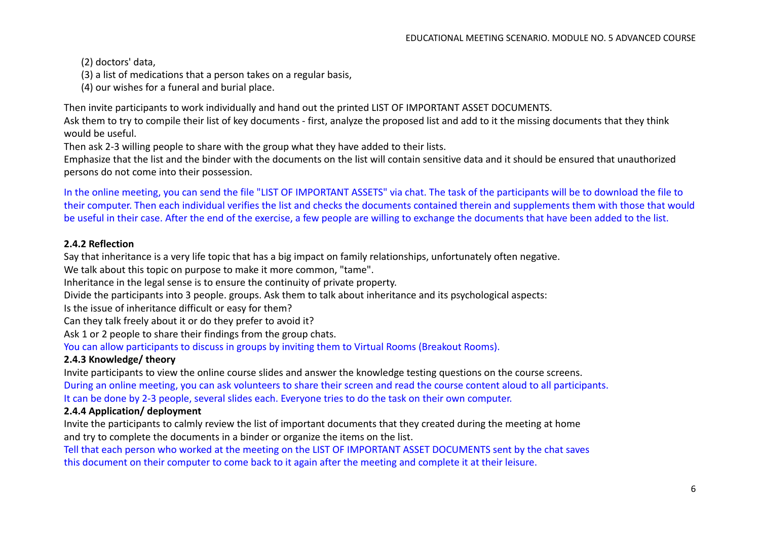(2) doctors' data,

(3) a list of medications that a person takes on a regular basis,

(4) our wishes for a funeral and burial place.

Then invite participants to work individually and hand out the printed LIST OF IMPORTANT ASSET DOCUMENTS.

Ask them to try to compile their list of key documents - first, analyze the proposed list and add to it the missing documents that they think would be useful.

Then ask 2-3 willing people to share with the group what they have added to their lists.

Emphasize that the list and the binder with the documents on the list will contain sensitive data and it should be ensured that unauthorized persons do not come into their possession.

In the online meeting, you can send the file "LIST OF IMPORTANT ASSETS" via chat. The task of the participants will be to download the file to their computer. Then each individual verifies the list and checks the documents contained therein and supplements them with those that would be useful in their case. After the end of the exercise, a few people are willing to exchange the documents that have been added to the list.

#### **2.4.2 Reflection**

Say that inheritance is a very life topic that has a big impact on family relationships, unfortunately often negative.

We talk about this topic on purpose to make it more common, "tame".

Inheritance in the legal sense is to ensure the continuity of private property.

Divide the participants into 3 people. groups. Ask them to talk about inheritance and its psychological aspects:

Is the issue of inheritance difficult or easy for them?

Can they talk freely about it or do they prefer to avoid it?

Ask 1 or 2 people to share their findings from the group chats.

You can allow participants to discuss in groups by inviting them to Virtual Rooms (Breakout Rooms).

## **2.4.3 Knowledge/ theory**

Invite participants to view the online course slides and answer the knowledge testing questions on the course screens.

During an online meeting, you can ask volunteers to share their screen and read the course content aloud to all participants. It can be done by 2-3 people, several slides each. Everyone tries to do the task on their own computer.

## **2.4.4 Application/ deployment**

Invite the participants to calmly review the list of important documents that they created during the meeting at home and try to complete the documents in a binder or organize the items on the list.

Tell that each person who worked at the meeting on the LIST OF IMPORTANT ASSET DOCUMENTS sent by the chat saves this document on their computer to come back to it again after the meeting and complete it at their leisure.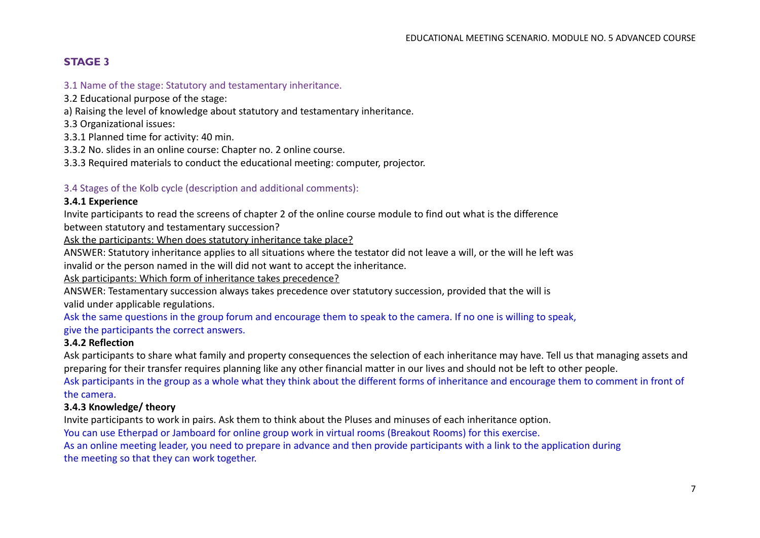# **STAGE 3**

#### 3.1 Name of the stage: Statutory and testamentary inheritance.

3.2 Educational purpose of the stage:

a) Raising the level of knowledge about statutory and testamentary inheritance.

3.3 Organizational issues:

3.3.1 Planned time for activity: 40 min.

3.3.2 No. slides in an online course: Chapter no. 2 online course.

3.3.3 Required materials to conduct the educational meeting: computer, projector.

#### 3.4 Stages of the Kolb cycle (description and additional comments):

#### **3.4.1 Experience**

Invite participants to read the screens of chapter 2 of the online course module to find out what is the difference

between statutory and testamentary succession?

Ask the participants: When does statutory inheritance take place?

ANSWER: Statutory inheritance applies to all situations where the testator did not leave a will, or the will he left was invalid or the person named in the will did not want to accept the inheritance.

Ask participants: Which form of inheritance takes precedence?

ANSWER: Testamentary succession always takes precedence over statutory succession, provided that the will is valid under applicable regulations.

Ask the same questions in the group forum and encourage them to speak to the camera. If no one is willing to speak, give the participants the correct answers.

#### **3.4.2 Reflection**

Ask participants to share what family and property consequences the selection of each inheritance may have. Tell us that managing assets and preparing for their transfer requires planning like any other financial matter in our lives and should not be left to other people. Ask participants in the group as a whole what they think about the different forms of inheritance and encourage them to comment in front of the camera.

#### **3.4.3 Knowledge/ theory**

Invite participants to work in pairs. Ask them to think about the Pluses and minuses of each inheritance option.

You can use Etherpad or Jamboard for online group work in virtual rooms (Breakout Rooms) for this exercise.

As an online meeting leader, you need to prepare in advance and then provide participants with a link to the application during the meeting so that they can work together.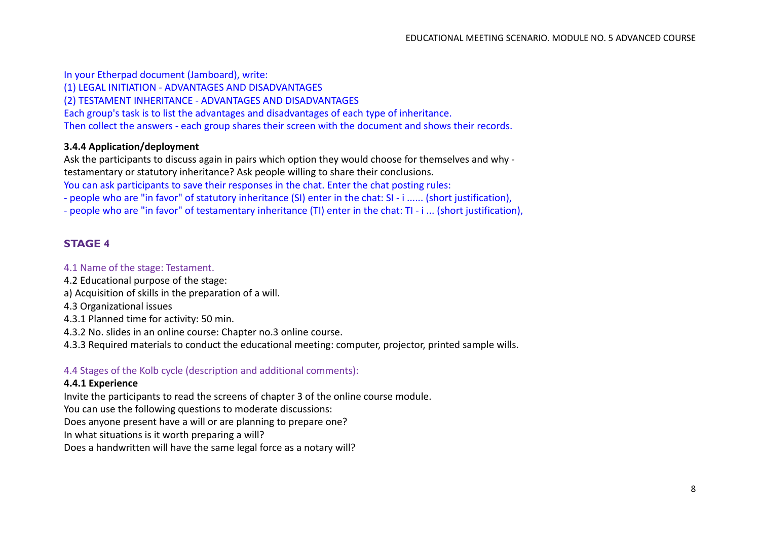In your Etherpad document (Jamboard), write: (1) LEGAL INITIATION - ADVANTAGES AND DISADVANTAGES (2) TESTAMENT INHERITANCE - ADVANTAGES AND DISADVANTAGES Each group's task is to list the advantages and disadvantages of each type of inheritance. Then collect the answers - each group shares their screen with the document and shows their records.

#### **3.4.4 Application/deployment**

Ask the participants to discuss again in pairs which option they would choose for themselves and why testamentary or statutory inheritance? Ask people willing to share their conclusions. You can ask participants to save their responses in the chat. Enter the chat posting rules:

- people who are "in favor" of statutory inheritance (SI) enter in the chat: SI - i ...... (short justification),

- people who are "in favor" of testamentary inheritance (TI) enter in the chat: TI - i ... (short justification),

#### **STAGE 4**

#### 4.1 Name of the stage: Testament.

- 4.2 Educational purpose of the stage:
- a) Acquisition of skills in the preparation of a will.
- 4.3 Organizational issues
- 4.3.1 Planned time for activity: 50 min.
- 4.3.2 No. slides in an online course: Chapter no.3 online course.
- 4.3.3 Required materials to conduct the educational meeting: computer, projector, printed sample wills.

#### 4.4 Stages of the Kolb cycle (description and additional comments):

#### **4.4.1 Experience**

Invite the participants to read the screens of chapter 3 of the online course module.

You can use the following questions to moderate discussions:

Does anyone present have a will or are planning to prepare one?

In what situations is it worth preparing a will?

Does a handwritten will have the same legal force as a notary will?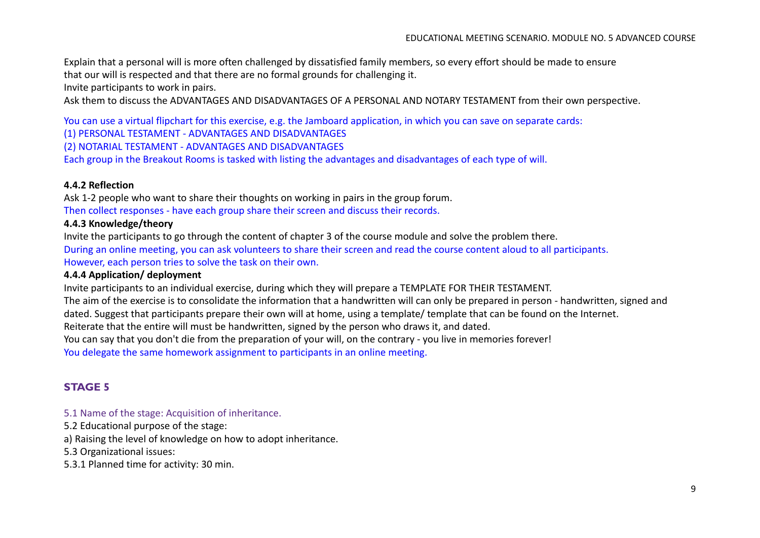Explain that a personal will is more often challenged by dissatisfied family members, so every effort should be made to ensure that our will is respected and that there are no formal grounds for challenging it.

Invite participants to work in pairs.

Ask them to discuss the ADVANTAGES AND DISADVANTAGES OF A PERSONAL AND NOTARY TESTAMENT from their own perspective.

You can use a virtual flipchart for this exercise, e.g. the Jamboard application, in which you can save on separate cards:

(1) PERSONAL TESTAMENT - ADVANTAGES AND DISADVANTAGES

(2) NOTARIAL TESTAMENT - ADVANTAGES AND DISADVANTAGES

Each group in the Breakout Rooms is tasked with listing the advantages and disadvantages of each type of will.

#### **4.4.2 Reflection**

Ask 1-2 people who want to share their thoughts on working in pairs in the group forum. Then collect responses - have each group share their screen and discuss their records.

#### **4.4.3 Knowledge/theory**

Invite the participants to go through the content of chapter 3 of the course module and solve the problem there. During an online meeting, you can ask volunteers to share their screen and read the course content aloud to all participants. However, each person tries to solve the task on their own.

#### **4.4.4 Application/ deployment**

Invite participants to an individual exercise, during which they will prepare a TEMPLATE FOR THEIR TESTAMENT.

The aim of the exercise is to consolidate the information that a handwritten will can only be prepared in person - handwritten, signed and dated. Suggest that participants prepare their own will at home, using a template/ template that can be found on the Internet.

Reiterate that the entire will must be handwritten, signed by the person who draws it, and dated.

You can say that you don't die from the preparation of your will, on the contrary - you live in memories forever!

You delegate the same homework assignment to participants in an online meeting.

## **STAGE 5**

#### 5.1 Name of the stage: Acquisition of inheritance.

5.2 Educational purpose of the stage:

a) Raising the level of knowledge on how to adopt inheritance.

5.3 Organizational issues:

5.3.1 Planned time for activity: 30 min.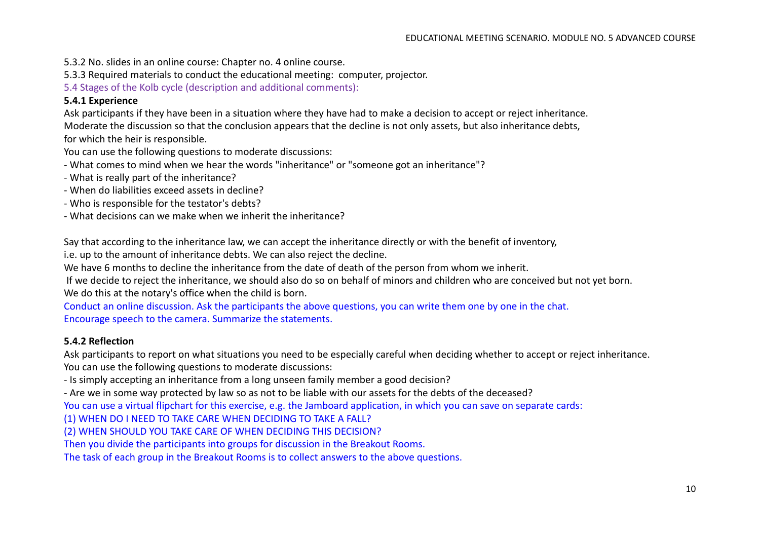- 5.3.2 No. slides in an online course: Chapter no. 4 online course.
- 5.3.3 Required materials to conduct the educational meeting: computer, projector.

5.4 Stages of the Kolb cycle (description and additional comments):

#### **5.4.1 Experience**

Ask participants if they have been in a situation where they have had to make a decision to accept or reject inheritance.

Moderate the discussion so that the conclusion appears that the decline is not only assets, but also inheritance debts,

for which the heir is responsible.

You can use the following questions to moderate discussions:

- What comes to mind when we hear the words "inheritance" or "someone got an inheritance"?
- What is really part of the inheritance?
- When do liabilities exceed assets in decline?
- Who is responsible for the testator's debts?
- What decisions can we make when we inherit the inheritance?

Say that according to the inheritance law, we can accept the inheritance directly or with the benefit of inventory,

i.e. up to the amount of inheritance debts. We can also reject the decline.

We have 6 months to decline the inheritance from the date of death of the person from whom we inherit.

If we decide to reject the inheritance, we should also do so on behalf of minors and children who are conceived but not yet born. We do this at the notary's office when the child is born.

Conduct an online discussion. Ask the participants the above questions, you can write them one by one in the chat. Encourage speech to the camera. Summarize the statements.

#### **5.4.2 Reflection**

Ask participants to report on what situations you need to be especially careful when deciding whether to accept or reject inheritance. You can use the following questions to moderate discussions:

- Is simply accepting an inheritance from a long unseen family member a good decision?

- Are we in some way protected by law so as not to be liable with our assets for the debts of the deceased?

You can use a virtual flipchart for this exercise, e.g. the Jamboard application, in which you can save on separate cards:

(1) WHEN DO I NEED TO TAKE CARE WHEN DECIDING TO TAKE A FALL?

(2) WHEN SHOULD YOU TAKE CARE OF WHEN DECIDING THIS DECISION?

Then you divide the participants into groups for discussion in the Breakout Rooms.

The task of each group in the Breakout Rooms is to collect answers to the above questions.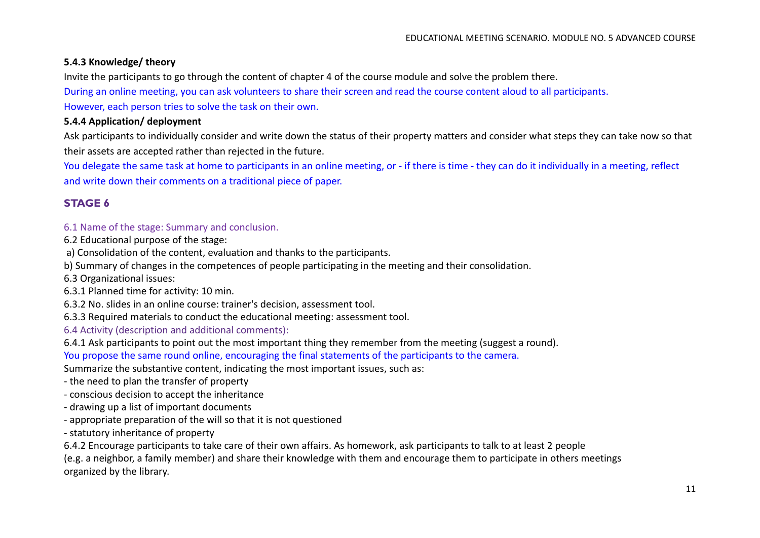## **5.4.3 Knowledge/ theory**

Invite the participants to go through the content of chapter 4 of the course module and solve the problem there.

During an online meeting, you can ask volunteers to share their screen and read the course content aloud to all participants.

However, each person tries to solve the task on their own.

## **5.4.4 Application/ deployment**

Ask participants to individually consider and write down the status of their property matters and consider what steps they can take now so that their assets are accepted rather than rejected in the future.

You delegate the same task at home to participants in an online meeting, or - if there is time - they can do it individually in a meeting, reflect and write down their comments on a traditional piece of paper.

# **STAGE 6**

#### 6.1 Name of the stage: Summary and conclusion.

6.2 Educational purpose of the stage:

a) Consolidation of the content, evaluation and thanks to the participants.

b) Summary of changes in the competences of people participating in the meeting and their consolidation.

6.3 Organizational issues:

6.3.1 Planned time for activity: 10 min.

6.3.2 No. slides in an online course: trainer's decision, assessment tool.

6.3.3 Required materials to conduct the educational meeting: assessment tool.

6.4 Activity (description and additional comments):

6.4.1 Ask participants to point out the most important thing they remember from the meeting (suggest a round).

You propose the same round online, encouraging the final statements of the participants to the camera.

Summarize the substantive content, indicating the most important issues, such as:

- the need to plan the transfer of property

- conscious decision to accept the inheritance

- drawing up a list of important documents
- appropriate preparation of the will so that it is not questioned
- statutory inheritance of property

6.4.2 Encourage participants to take care of their own affairs. As homework, ask participants to talk to at least 2 people

(e.g. a neighbor, a family member) and share their knowledge with them and encourage them to participate in others meetings organized by the library.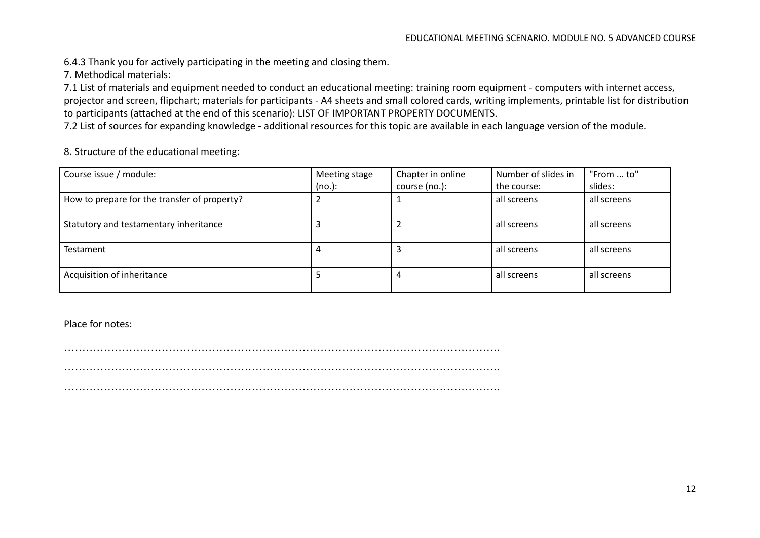6.4.3 Thank you for actively participating in the meeting and closing them.

7. Methodical materials:

7.1 List of materials and equipment needed to conduct an educational meeting: training room equipment - computers with internet access, projector and screen, flipchart; materials for participants - A4 sheets and small colored cards, writing implements, printable list for distribution to participants (attached at the end of this scenario): LIST OF IMPORTANT PROPERTY DOCUMENTS.

7.2 List of sources for expanding knowledge - additional resources for this topic are available in each language version of the module.

8. Structure of the educational meeting:

| Course issue / module:                       | Meeting stage | Chapter in online | Number of slides in | "From  to"  |
|----------------------------------------------|---------------|-------------------|---------------------|-------------|
|                                              | (no.):        | course (no.):     | the course:         | slides:     |
| How to prepare for the transfer of property? |               |                   | all screens         | all screens |
| Statutory and testamentary inheritance       |               |                   | all screens         | all screens |
| <b>Testament</b>                             | 4             |                   | all screens         | all screens |
| Acquisition of inheritance                   |               |                   | all screens         | all screens |

#### Place for notes:

…………………………………………………………………………………………………………. …………………………………………………………………………………………………………. ………………………………………………………………………………………………………….